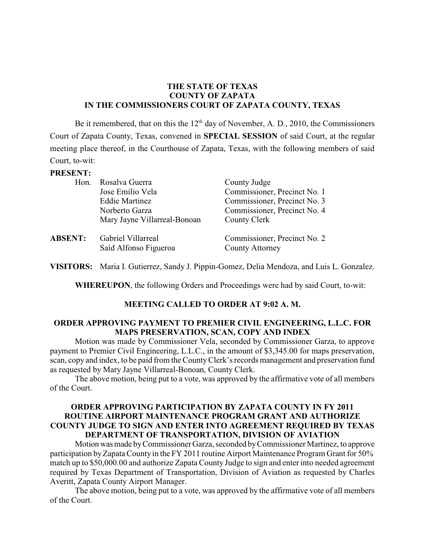## **THE STATE OF TEXAS COUNTY OF ZAPATA IN THE COMMISSIONERS COURT OF ZAPATA COUNTY, TEXAS**

Be it remembered, that on this the  $12<sup>th</sup>$  day of November, A. D., 2010, the Commissioners Court of Zapata County, Texas, convened in **SPECIAL SESSION** of said Court, at the regular meeting place thereof, in the Courthouse of Zapata, Texas, with the following members of said Court, to-wit:

#### **PRESENT:**

| Hon.           | Rosalva Guerra<br>Jose Emilio Vela<br><b>Eddie Martinez</b>          | County Judge<br>Commissioner, Precinct No. 1<br>Commissioner, Precinct No. 3 |
|----------------|----------------------------------------------------------------------|------------------------------------------------------------------------------|
| <b>ABSENT:</b> | Norberto Garza<br>Mary Jayne Villarreal-Bonoan<br>Gabriel Villarreal | Commissioner, Precinct No. 4<br>County Clerk<br>Commissioner, Precinct No. 2 |
|                | Saíd Alfonso Figueroa                                                | <b>County Attorney</b>                                                       |

**VISITORS:** Maria I. Gutierrez, Sandy J. Pippin-Gomez, Delia Mendoza, and Luis L. Gonzalez.

**WHEREUPON**, the following Orders and Proceedings were had by said Court, to-wit:

## **MEETING CALLED TO ORDER AT 9:02 A. M.**

### **ORDER APPROVING PAYMENT TO PREMIER CIVIL ENGINEERING, L.L.C. FOR MAPS PRESERVATION, SCAN, COPY AND INDEX**

Motion was made by Commissioner Vela, seconded by Commissioner Garza, to approve payment to Premier Civil Engineering, L.L.C., in the amount of \$3,345.00 for maps preservation, scan, copy and index, to be paid from the CountyClerk's records management and preservation fund as requested by Mary Jayne Villarreal-Bonoan, County Clerk.

The above motion, being put to a vote, was approved by the affirmative vote of all members of the Court.

### **ORDER APPROVING PARTICIPATION BY ZAPATA COUNTY IN FY 2011 ROUTINE AIRPORT MAINTENANCE PROGRAM GRANT AND AUTHORIZE COUNTY JUDGE TO SIGN AND ENTER INTO AGREEMENT REQUIRED BY TEXAS DEPARTMENT OF TRANSPORTATION, DIVISION OF AVIATION**

Motionwasmade byCommissioner Garza, seconded byCommissioner Martinez, to approve participation by Zapata County in the FY 2011 routine Airport Maintenance Program Grant for 50% match up to \$50,000.00 and authorize Zapata County Judge to sign and enterinto needed agreement required by Texas Department of Transportation, Division of Aviation as requested by Charles Averitt, Zapata County Airport Manager.

The above motion, being put to a vote, was approved by the affirmative vote of all members of the Court.